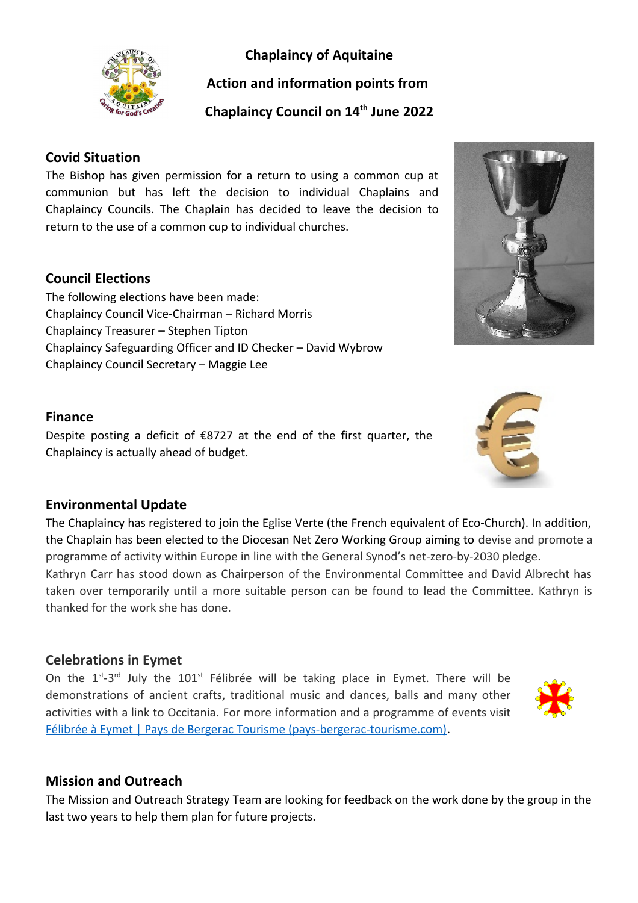# **Chaplaincy of Aquitaine**



**Action and information points from** 

**Chaplaincy Council on 14th June 2022**

# **Covid Situation**

The Bishop has given permission for a return to using a common cup at communion but has left the decision to individual Chaplains and Chaplaincy Councils. The Chaplain has decided to leave the decision to return to the use of a common cup to individual churches.

## **Council Elections**

The following elections have been made: Chaplaincy Council Vice-Chairman – Richard Morris Chaplaincy Treasurer – Stephen Tipton Chaplaincy Safeguarding Officer and ID Checker – David Wybrow Chaplaincy Council Secretary – Maggie Lee

#### **Finance**

Despite posting a deficit of €8727 at the end of the first quarter, the Chaplaincy is actually ahead of budget.



The Chaplaincy has registered to join the Eglise Verte (the French equivalent of Eco-Church). In addition, the Chaplain has been elected to the Diocesan Net Zero Working Group aiming to devise and promote a programme of activity within Europe in line with the General Synod's net-zero-by-2030 pledge. Kathryn Carr has stood down as Chairperson of the Environmental Committee and David Albrecht has taken over temporarily until a more suitable person can be found to lead the Committee. Kathryn is thanked for the work she has done.

## **Celebrations in Eymet**

On the  $1^{st}$ -3<sup>rd</sup> July the  $101^{st}$  Félibrée will be taking place in Eymet. There will be demonstrations of ancient crafts, traditional music and dances, balls and many other activities with a link to Occitania. For more information and a programme of events visit [Félibrée à Eymet | Pays de Bergerac Tourisme \(pays-bergerac-tourisme.com\).](https://www.pays-bergerac-tourisme.com/fr/agenda/temps-forts/felibree-eymet)

## **Mission and Outreach**

The Mission and Outreach Strategy Team are looking for feedback on the work done by the group in the last two years to help them plan for future projects.